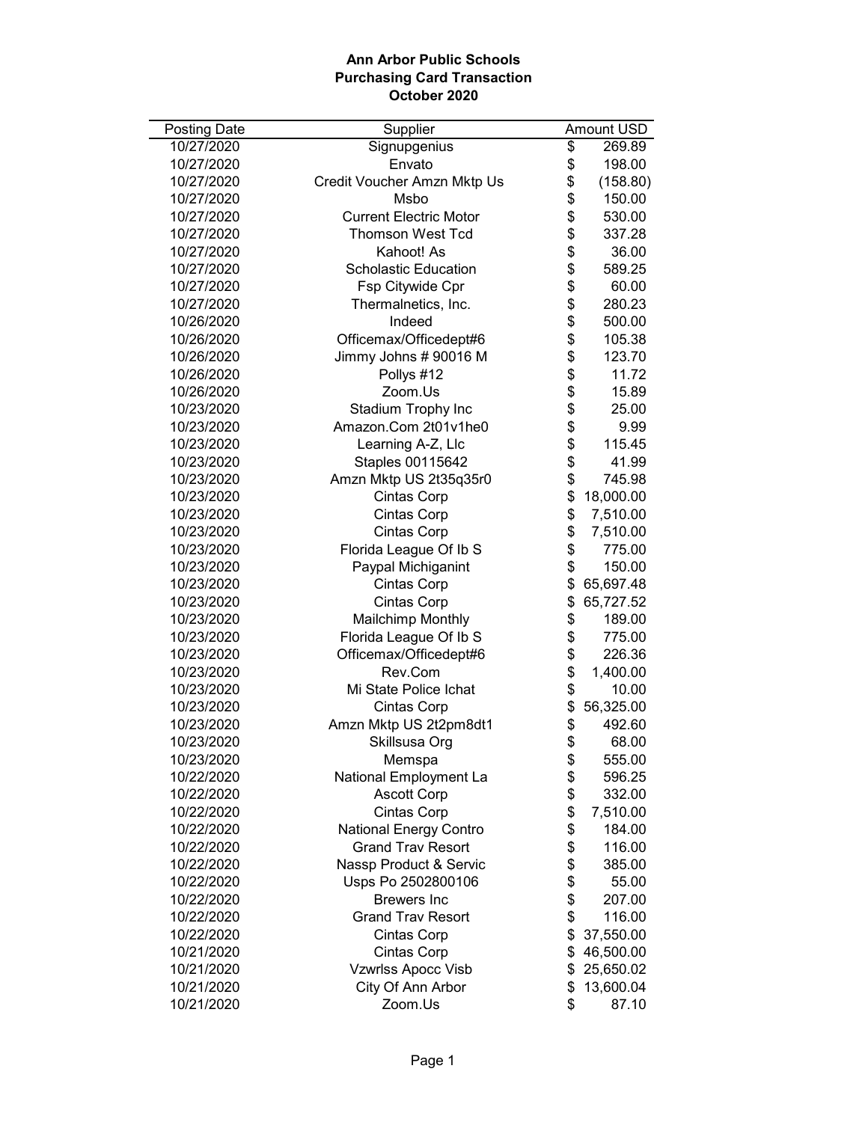| <b>Posting Date</b> | Supplier                      |                | Amount USD |
|---------------------|-------------------------------|----------------|------------|
| 10/27/2020          | Signupgenius                  | \$             | 269.89     |
| 10/27/2020          | Envato                        | \$             | 198.00     |
| 10/27/2020          | Credit Voucher Amzn Mktp Us   | \$             | (158.80)   |
| 10/27/2020          | Msbo                          | \$             | 150.00     |
| 10/27/2020          | <b>Current Electric Motor</b> | \$             | 530.00     |
| 10/27/2020          | <b>Thomson West Tcd</b>       |                | 337.28     |
| 10/27/2020          | Kahoot! As                    | \$\$\$\$\$\$\$ | 36.00      |
| 10/27/2020          | <b>Scholastic Education</b>   |                | 589.25     |
| 10/27/2020          | Fsp Citywide Cpr              |                | 60.00      |
| 10/27/2020          | Thermalnetics, Inc.           |                | 280.23     |
| 10/26/2020          | Indeed                        |                | 500.00     |
| 10/26/2020          | Officemax/Officedept#6        | \$             | 105.38     |
| 10/26/2020          | Jimmy Johns # 90016 M         | \$             | 123.70     |
| 10/26/2020          | Pollys #12                    | \$             | 11.72      |
| 10/26/2020          | Zoom.Us                       |                | 15.89      |
| 10/23/2020          | Stadium Trophy Inc            |                | 25.00      |
| 10/23/2020          | Amazon.Com 2t01v1he0          |                | 9.99       |
| 10/23/2020          | Learning A-Z, Llc             | \$\$\$\$\$     | 115.45     |
| 10/23/2020          | Staples 00115642              |                | 41.99      |
| 10/23/2020          | Amzn Mktp US 2t35q35r0        | \$             | 745.98     |
| 10/23/2020          | Cintas Corp                   | \$             | 18,000.00  |
| 10/23/2020          | Cintas Corp                   | \$             | 7,510.00   |
| 10/23/2020          | Cintas Corp                   | \$             | 7,510.00   |
| 10/23/2020          | Florida League Of Ib S        | \$             | 775.00     |
| 10/23/2020          | Paypal Michiganint            | \$             | 150.00     |
| 10/23/2020          | Cintas Corp                   | \$             | 65,697.48  |
| 10/23/2020          | Cintas Corp                   | \$             | 65,727.52  |
| 10/23/2020          | <b>Mailchimp Monthly</b>      | \$             | 189.00     |
| 10/23/2020          | Florida League Of Ib S        | \$             | 775.00     |
| 10/23/2020          | Officemax/Officedept#6        | \$             | 226.36     |
| 10/23/2020          | Rev.Com                       | \$             | 1,400.00   |
| 10/23/2020          | Mi State Police Ichat         | \$             | 10.00      |
| 10/23/2020          | Cintas Corp                   | \$             | 56,325.00  |
| 10/23/2020          | Amzn Mktp US 2t2pm8dt1        | \$             | 492.60     |
| 10/23/2020          | Skillsusa Org                 | \$             | 68.00      |
| 10/23/2020          | Memspa                        | \$             | 555.00     |
| 10/22/2020          | National Employment La        | \$             | 596.25     |
| 10/22/2020          | <b>Ascott Corp</b>            | \$             | 332.00     |
| 10/22/2020          | Cintas Corp                   |                | 7,510.00   |
| 10/22/2020          | <b>National Energy Contro</b> |                | 184.00     |
| 10/22/2020          | <b>Grand Trav Resort</b>      |                | 116.00     |
| 10/22/2020          | Nassp Product & Servic        |                | 385.00     |
| 10/22/2020          | Usps Po 2502800106            | \$\$\$\$\$\$\$ | 55.00      |
| 10/22/2020          | <b>Brewers</b> Inc            |                | 207.00     |
| 10/22/2020          | <b>Grand Trav Resort</b>      | \$             | 116.00     |
| 10/22/2020          | Cintas Corp                   | \$             | 37,550.00  |
| 10/21/2020          | <b>Cintas Corp</b>            | \$             | 46,500.00  |
| 10/21/2020          | Vzwrlss Apocc Visb            | \$             | 25,650.02  |
| 10/21/2020          | City Of Ann Arbor             | \$             | 13,600.04  |
| 10/21/2020          | Zoom.Us                       | \$             | 87.10      |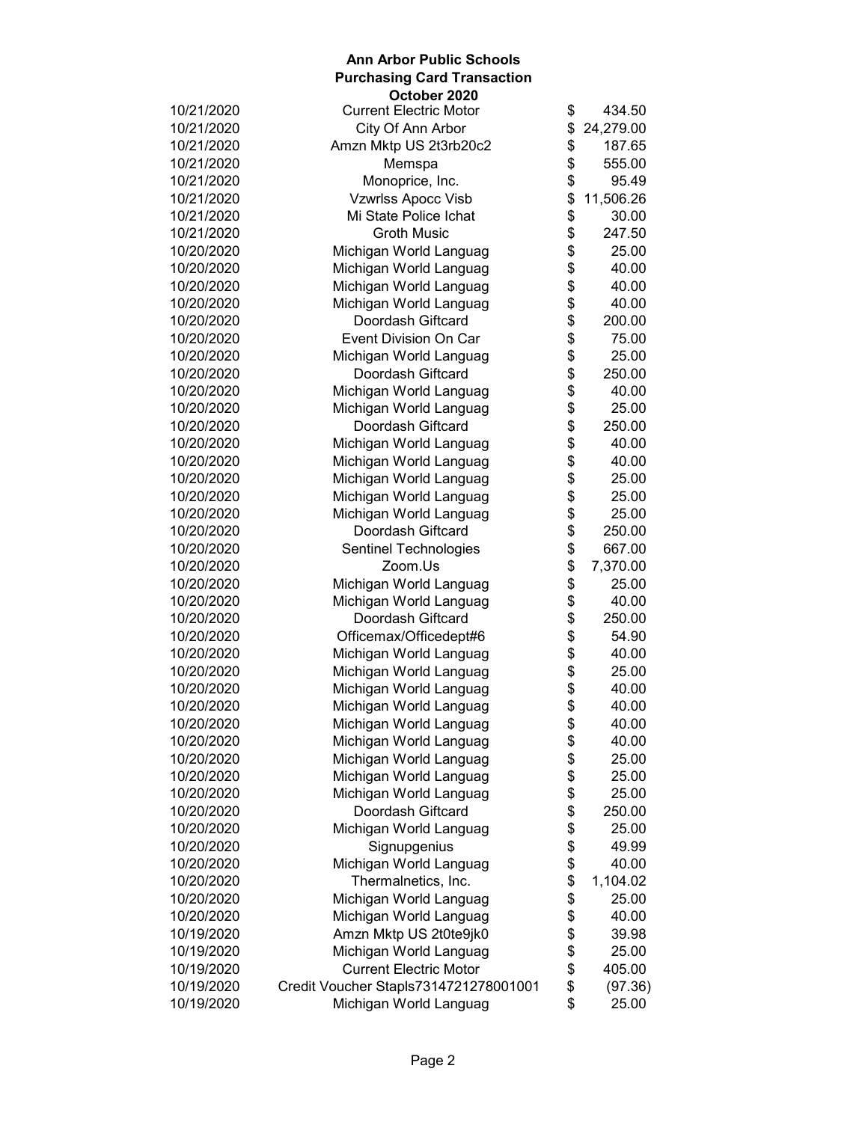|            | October 2020                          |                 |                |
|------------|---------------------------------------|-----------------|----------------|
| 10/21/2020 | <b>Current Electric Motor</b>         | \$              | 434.50         |
| 10/21/2020 | City Of Ann Arbor                     | \$              | 24,279.00      |
| 10/21/2020 | Amzn Mktp US 2t3rb20c2                | \$              | 187.65         |
| 10/21/2020 | Memspa                                | \$              | 555.00         |
| 10/21/2020 | Monoprice, Inc.                       | \$              | 95.49          |
| 10/21/2020 | Vzwrlss Apocc Visb                    | \$              | 11,506.26      |
| 10/21/2020 | Mi State Police Ichat                 | \$              | 30.00          |
| 10/21/2020 | <b>Groth Music</b>                    | \$              | 247.50         |
| 10/20/2020 | Michigan World Languag                | \$              | 25.00          |
| 10/20/2020 | Michigan World Languag                | \$              | 40.00          |
| 10/20/2020 | Michigan World Languag                | \$              | 40.00          |
| 10/20/2020 | Michigan World Languag                | \$              | 40.00          |
| 10/20/2020 | Doordash Giftcard                     | \$              | 200.00         |
| 10/20/2020 | Event Division On Car                 | \$              | 75.00          |
| 10/20/2020 | Michigan World Languag                |                 | 25.00          |
| 10/20/2020 | Doordash Giftcard                     |                 | 250.00         |
| 10/20/2020 | Michigan World Languag                |                 | 40.00          |
| 10/20/2020 | Michigan World Languag                |                 | 25.00          |
| 10/20/2020 | Doordash Giftcard                     |                 | 250.00         |
| 10/20/2020 | Michigan World Languag                |                 | 40.00          |
| 10/20/2020 | Michigan World Languag                |                 | 40.00          |
| 10/20/2020 | Michigan World Languag                | <b>88888888</b> | 25.00          |
| 10/20/2020 | Michigan World Languag                |                 | 25.00          |
| 10/20/2020 | Michigan World Languag                | \$              | 25.00          |
| 10/20/2020 | Doordash Giftcard                     | \$              | 250.00         |
| 10/20/2020 | Sentinel Technologies                 | \$              | 667.00         |
| 10/20/2020 | Zoom.Us                               | \$              | 7,370.00       |
| 10/20/2020 | Michigan World Languag                | \$              | 25.00          |
| 10/20/2020 | Michigan World Languag                | \$              | 40.00          |
| 10/20/2020 | Doordash Giftcard                     | \$              | 250.00         |
| 10/20/2020 | Officemax/Officedept#6                | \$              | 54.90          |
| 10/20/2020 | Michigan World Languag                |                 | 40.00          |
| 10/20/2020 | Michigan World Languag                |                 | 25.00          |
| 10/20/2020 | Michigan World Languag                |                 | 40.00          |
| 10/20/2020 | Michigan World Languag                | \$\$\$          | 40.00          |
| 10/20/2020 | Michigan World Languag                | \$              | 40.00          |
| 10/20/2020 |                                       |                 |                |
|            | Michigan World Languag                | \$              | 40.00<br>25.00 |
| 10/20/2020 | Michigan World Languag                | \$              |                |
| 10/20/2020 | Michigan World Languag                | \$              | 25.00          |
| 10/20/2020 | Michigan World Languag                | \$              | 25.00          |
| 10/20/2020 | Doordash Giftcard                     | \$              | 250.00         |
| 10/20/2020 | Michigan World Languag                | \$\$            | 25.00          |
| 10/20/2020 | Signupgenius                          |                 | 49.99          |
| 10/20/2020 | Michigan World Languag                |                 | 40.00          |
| 10/20/2020 | Thermalnetics, Inc.                   | \$              | 1,104.02       |
| 10/20/2020 | Michigan World Languag                | \$              | 25.00          |
| 10/20/2020 | Michigan World Languag                | \$              | 40.00          |
| 10/19/2020 | Amzn Mktp US 2t0te9jk0                | \$              | 39.98          |
| 10/19/2020 | Michigan World Languag                | \$<br>\$        | 25.00          |
| 10/19/2020 | <b>Current Electric Motor</b>         |                 | 405.00         |
| 10/19/2020 | Credit Voucher Stapls7314721278001001 | \$              | (97.36)        |
| 10/19/2020 | Michigan World Languag                | \$              | 25.00          |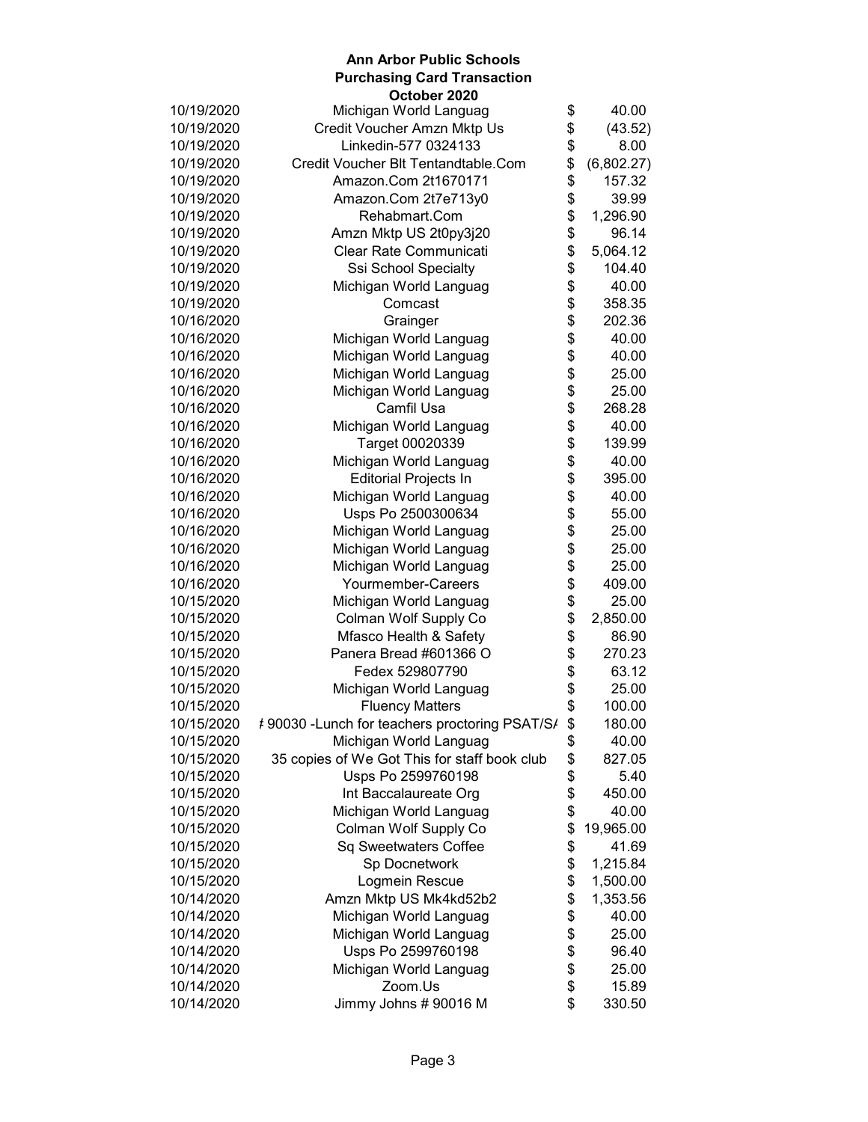|            | October 2020                                   |            |            |
|------------|------------------------------------------------|------------|------------|
| 10/19/2020 | Michigan World Languag                         | \$         | 40.00      |
| 10/19/2020 | Credit Voucher Amzn Mktp Us                    | \$         | (43.52)    |
| 10/19/2020 | Linkedin-577 0324133                           | \$         | 8.00       |
| 10/19/2020 | Credit Voucher Blt Tentandtable.Com            | \$         | (6,802.27) |
| 10/19/2020 | Amazon.Com 2t1670171                           | \$         | 157.32     |
| 10/19/2020 | Amazon.Com 2t7e713y0                           | \$         | 39.99      |
| 10/19/2020 | Rehabmart.Com                                  | \$         | 1,296.90   |
| 10/19/2020 | Amzn Mktp US 2t0py3j20                         | \$         | 96.14      |
| 10/19/2020 | Clear Rate Communicati                         | \$         | 5,064.12   |
| 10/19/2020 | Ssi School Specialty                           | \$         | 104.40     |
| 10/19/2020 | Michigan World Languag                         | \$         | 40.00      |
| 10/19/2020 | Comcast                                        | \$         | 358.35     |
| 10/16/2020 | Grainger                                       | \$         | 202.36     |
| 10/16/2020 | Michigan World Languag                         |            | 40.00      |
| 10/16/2020 | Michigan World Languag                         |            | 40.00      |
| 10/16/2020 | Michigan World Languag                         |            | 25.00      |
| 10/16/2020 | Michigan World Languag                         |            | 25.00      |
| 10/16/2020 | Camfil Usa                                     | \$\$\$\$\$ | 268.28     |
| 10/16/2020 | Michigan World Languag                         |            | 40.00      |
| 10/16/2020 | Target 00020339                                | \$         | 139.99     |
| 10/16/2020 | Michigan World Languag                         | \$         | 40.00      |
| 10/16/2020 | <b>Editorial Projects In</b>                   | \$<br>\$   | 395.00     |
| 10/16/2020 | Michigan World Languag                         |            | 40.00      |
| 10/16/2020 | Usps Po 2500300634                             | \$         | 55.00      |
| 10/16/2020 | Michigan World Languag                         | \$         | 25.00      |
| 10/16/2020 | Michigan World Languag                         | \$         | 25.00      |
| 10/16/2020 | Michigan World Languag                         | \$         | 25.00      |
| 10/16/2020 | Yourmember-Careers                             | \$         | 409.00     |
| 10/15/2020 | Michigan World Languag                         | \$         | 25.00      |
| 10/15/2020 | Colman Wolf Supply Co                          | \$         | 2,850.00   |
| 10/15/2020 | Mfasco Health & Safety                         | \$         | 86.90      |
| 10/15/2020 | Panera Bread #601366 O                         | \$         | 270.23     |
| 10/15/2020 | Fedex 529807790                                | \$         | 63.12      |
| 10/15/2020 | Michigan World Languag                         | \$         | 25.00      |
| 10/15/2020 | <b>Fluency Matters</b>                         | \$         | 100.00     |
| 10/15/2020 | #90030 - Lunch for teachers proctoring PSAT/S/ | \$         | 180.00     |
| 10/15/2020 | Michigan World Languag                         | \$         | 40.00      |
| 10/15/2020 | 35 copies of We Got This for staff book club   | \$         | 827.05     |
| 10/15/2020 | Usps Po 2599760198                             | \$         | 5.40       |
| 10/15/2020 | Int Baccalaureate Org                          | \$         | 450.00     |
| 10/15/2020 | Michigan World Languag                         | \$         | 40.00      |
| 10/15/2020 | Colman Wolf Supply Co                          | \$         | 19,965.00  |
| 10/15/2020 | Sq Sweetwaters Coffee                          | \$         | 41.69      |
| 10/15/2020 | Sp Docnetwork                                  | \$         | 1,215.84   |
| 10/15/2020 | Logmein Rescue                                 | \$         | 1,500.00   |
| 10/14/2020 | Amzn Mktp US Mk4kd52b2                         | \$         | 1,353.56   |
| 10/14/2020 | Michigan World Languag                         | \$         | 40.00      |
| 10/14/2020 | Michigan World Languag                         | \$         | 25.00      |
| 10/14/2020 | Usps Po 2599760198                             |            | 96.40      |
| 10/14/2020 | Michigan World Languag                         | \$         | 25.00      |
| 10/14/2020 | Zoom.Us                                        | \$         | 15.89      |
| 10/14/2020 | Jimmy Johns # 90016 M                          | \$         | 330.50     |
|            |                                                |            |            |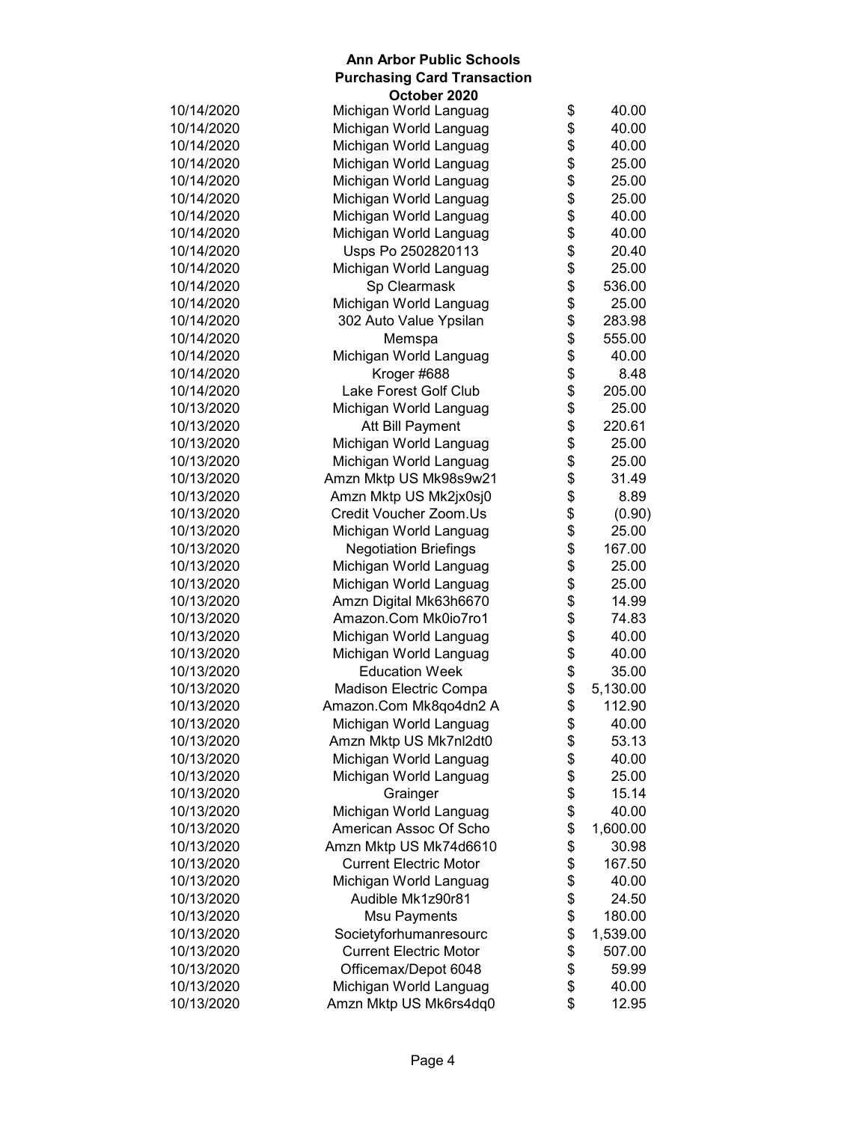|            | October 2020                  |                 |          |
|------------|-------------------------------|-----------------|----------|
| 10/14/2020 | Michigan World Languag        | \$              | 40.00    |
| 10/14/2020 | Michigan World Languag        | \$              | 40.00    |
| 10/14/2020 | Michigan World Languag        | \$              | 40.00    |
| 10/14/2020 | Michigan World Languag        | \$              | 25.00    |
| 10/14/2020 | Michigan World Languag        | \$<br>\$        | 25.00    |
| 10/14/2020 | Michigan World Languag        |                 | 25.00    |
| 10/14/2020 | Michigan World Languag        | \$              | 40.00    |
| 10/14/2020 | Michigan World Languag        | \$              | 40.00    |
| 10/14/2020 | Usps Po 2502820113            | \$<br>\$        | 20.40    |
| 10/14/2020 | Michigan World Languag        |                 | 25.00    |
| 10/14/2020 | Sp Clearmask                  | \$              | 536.00   |
| 10/14/2020 | Michigan World Languag        | \$              | 25.00    |
| 10/14/2020 | 302 Auto Value Ypsilan        | \$              | 283.98   |
| 10/14/2020 | Memspa                        | \$              | 555.00   |
| 10/14/2020 | Michigan World Languag        |                 | 40.00    |
| 10/14/2020 | Kroger #688                   |                 | 8.48     |
| 10/14/2020 | Lake Forest Golf Club         |                 | 205.00   |
| 10/13/2020 | Michigan World Languag        |                 | 25.00    |
| 10/13/2020 | Att Bill Payment              |                 | 220.61   |
| 10/13/2020 | Michigan World Languag        |                 | 25.00    |
| 10/13/2020 | Michigan World Languag        |                 | 25.00    |
| 10/13/2020 | Amzn Mktp US Mk98s9w21        | <b>88888888</b> | 31.49    |
| 10/13/2020 | Amzn Mktp US Mk2jx0sj0        |                 | 8.89     |
| 10/13/2020 | Credit Voucher Zoom.Us        | \$              | (0.90)   |
| 10/13/2020 | Michigan World Languag        | \$              | 25.00    |
| 10/13/2020 | <b>Negotiation Briefings</b>  | \$              | 167.00   |
| 10/13/2020 | Michigan World Languag        | \$              | 25.00    |
| 10/13/2020 | Michigan World Languag        | \$              | 25.00    |
| 10/13/2020 | Amzn Digital Mk63h6670        | \$              | 14.99    |
| 10/13/2020 | Amazon.Com Mk0io7ro1          |                 | 74.83    |
| 10/13/2020 | Michigan World Languag        | \$\$\$\$\$      | 40.00    |
| 10/13/2020 | Michigan World Languag        |                 | 40.00    |
| 10/13/2020 | <b>Education Week</b>         |                 | 35.00    |
| 10/13/2020 | Madison Electric Compa        |                 | 5,130.00 |
| 10/13/2020 | Amazon.Com Mk8qo4dn2 A        | \$              | 112.90   |
| 10/13/2020 | Michigan World Languag        | \$              | 40.00    |
| 10/13/2020 | Amzn Mktp US Mk7nl2dt0        | \$              | 53.13    |
| 10/13/2020 | Michigan World Languag        | \$              | 40.00    |
| 10/13/2020 | Michigan World Languag        |                 | 25.00    |
| 10/13/2020 | Grainger                      | \$\$            | 15.14    |
| 10/13/2020 | Michigan World Languag        |                 | 40.00    |
| 10/13/2020 | American Assoc Of Scho        |                 | 1,600.00 |
| 10/13/2020 | Amzn Mktp US Mk74d6610        | \$              | 30.98    |
| 10/13/2020 | <b>Current Electric Motor</b> | \$              | 167.50   |
| 10/13/2020 | Michigan World Languag        | \$              | 40.00    |
| 10/13/2020 | Audible Mk1z90r81             | \$              | 24.50    |
| 10/13/2020 | <b>Msu Payments</b>           | \$              | 180.00   |
| 10/13/2020 | Societyforhumanresourc        | \$              | 1,539.00 |
| 10/13/2020 | <b>Current Electric Motor</b> | \$              | 507.00   |
| 10/13/2020 | Officemax/Depot 6048          | \$              | 59.99    |
| 10/13/2020 | Michigan World Languag        | \$              | 40.00    |
| 10/13/2020 | Amzn Mktp US Mk6rs4dq0        | \$              | 12.95    |
|            |                               |                 |          |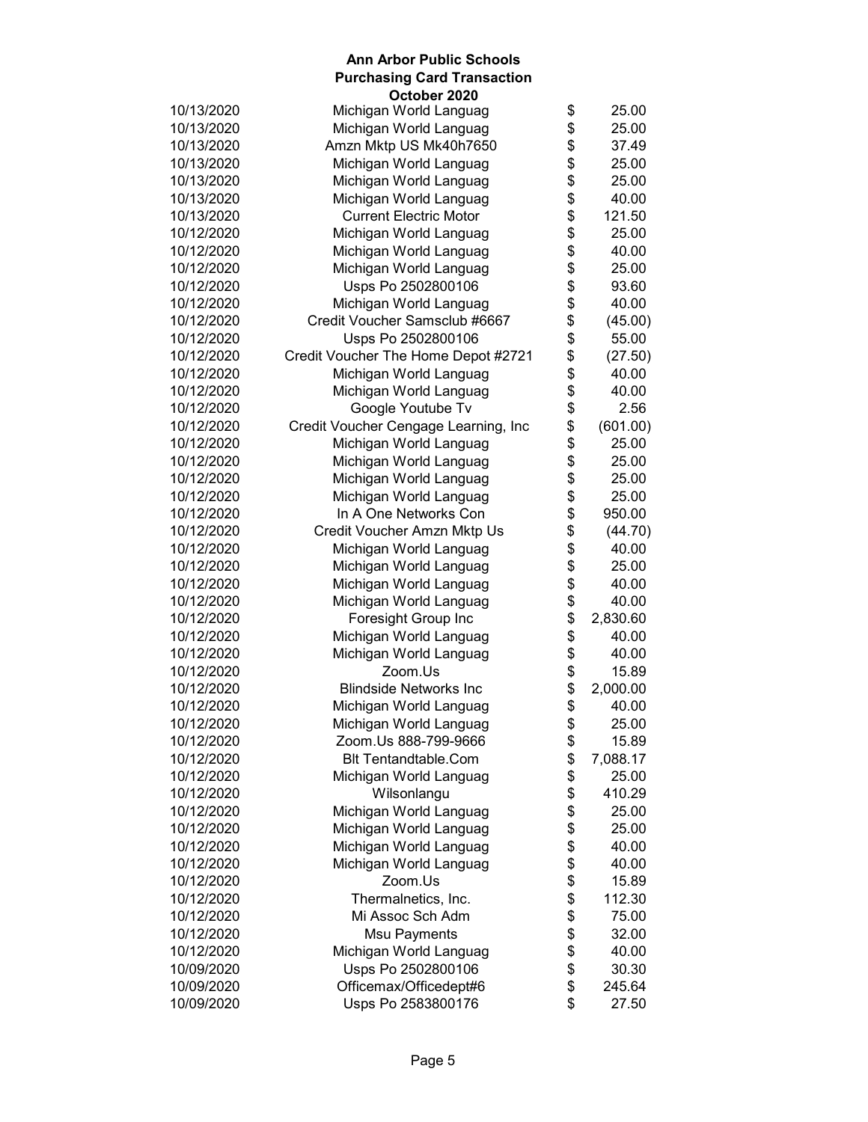| October 2020                         |                                                                                                                                                                                                                                                                                                                                              |                                                                                                                                                                                                                                              |
|--------------------------------------|----------------------------------------------------------------------------------------------------------------------------------------------------------------------------------------------------------------------------------------------------------------------------------------------------------------------------------------------|----------------------------------------------------------------------------------------------------------------------------------------------------------------------------------------------------------------------------------------------|
|                                      |                                                                                                                                                                                                                                                                                                                                              | 25.00                                                                                                                                                                                                                                        |
|                                      |                                                                                                                                                                                                                                                                                                                                              | 25.00                                                                                                                                                                                                                                        |
|                                      |                                                                                                                                                                                                                                                                                                                                              | 37.49                                                                                                                                                                                                                                        |
|                                      |                                                                                                                                                                                                                                                                                                                                              | 25.00                                                                                                                                                                                                                                        |
|                                      |                                                                                                                                                                                                                                                                                                                                              | 25.00                                                                                                                                                                                                                                        |
| Michigan World Languag               |                                                                                                                                                                                                                                                                                                                                              | 40.00                                                                                                                                                                                                                                        |
| <b>Current Electric Motor</b>        |                                                                                                                                                                                                                                                                                                                                              | 121.50                                                                                                                                                                                                                                       |
| Michigan World Languag               |                                                                                                                                                                                                                                                                                                                                              | 25.00                                                                                                                                                                                                                                        |
|                                      |                                                                                                                                                                                                                                                                                                                                              | 40.00                                                                                                                                                                                                                                        |
| Michigan World Languag               |                                                                                                                                                                                                                                                                                                                                              | 25.00                                                                                                                                                                                                                                        |
| Usps Po 2502800106                   |                                                                                                                                                                                                                                                                                                                                              | 93.60                                                                                                                                                                                                                                        |
| Michigan World Languag               |                                                                                                                                                                                                                                                                                                                                              | 40.00                                                                                                                                                                                                                                        |
| Credit Voucher Samsclub #6667        |                                                                                                                                                                                                                                                                                                                                              | (45.00)                                                                                                                                                                                                                                      |
| Usps Po 2502800106                   |                                                                                                                                                                                                                                                                                                                                              | 55.00                                                                                                                                                                                                                                        |
| Credit Voucher The Home Depot #2721  |                                                                                                                                                                                                                                                                                                                                              | (27.50)                                                                                                                                                                                                                                      |
| Michigan World Languag               |                                                                                                                                                                                                                                                                                                                                              | 40.00                                                                                                                                                                                                                                        |
|                                      |                                                                                                                                                                                                                                                                                                                                              | 40.00                                                                                                                                                                                                                                        |
| Google Youtube Tv                    |                                                                                                                                                                                                                                                                                                                                              | 2.56                                                                                                                                                                                                                                         |
| Credit Voucher Cengage Learning, Inc |                                                                                                                                                                                                                                                                                                                                              | (601.00)                                                                                                                                                                                                                                     |
| Michigan World Languag               |                                                                                                                                                                                                                                                                                                                                              | 25.00                                                                                                                                                                                                                                        |
| Michigan World Languag               |                                                                                                                                                                                                                                                                                                                                              | 25.00                                                                                                                                                                                                                                        |
| Michigan World Languag               |                                                                                                                                                                                                                                                                                                                                              | 25.00                                                                                                                                                                                                                                        |
| Michigan World Languag               |                                                                                                                                                                                                                                                                                                                                              | 25.00                                                                                                                                                                                                                                        |
| In A One Networks Con                |                                                                                                                                                                                                                                                                                                                                              | 950.00                                                                                                                                                                                                                                       |
| Credit Voucher Amzn Mktp Us          |                                                                                                                                                                                                                                                                                                                                              | (44.70)                                                                                                                                                                                                                                      |
| Michigan World Languag               |                                                                                                                                                                                                                                                                                                                                              | 40.00                                                                                                                                                                                                                                        |
| Michigan World Languag               |                                                                                                                                                                                                                                                                                                                                              | 25.00                                                                                                                                                                                                                                        |
|                                      |                                                                                                                                                                                                                                                                                                                                              | 40.00                                                                                                                                                                                                                                        |
| Michigan World Languag               |                                                                                                                                                                                                                                                                                                                                              | 40.00                                                                                                                                                                                                                                        |
| Foresight Group Inc                  |                                                                                                                                                                                                                                                                                                                                              | 2,830.60                                                                                                                                                                                                                                     |
|                                      |                                                                                                                                                                                                                                                                                                                                              | 40.00                                                                                                                                                                                                                                        |
|                                      |                                                                                                                                                                                                                                                                                                                                              | 40.00                                                                                                                                                                                                                                        |
| Zoom.Us                              |                                                                                                                                                                                                                                                                                                                                              | 15.89                                                                                                                                                                                                                                        |
| <b>Blindside Networks Inc</b>        |                                                                                                                                                                                                                                                                                                                                              | 2,000.00                                                                                                                                                                                                                                     |
| Michigan World Languag               |                                                                                                                                                                                                                                                                                                                                              | 40.00                                                                                                                                                                                                                                        |
|                                      | \$                                                                                                                                                                                                                                                                                                                                           | 25.00                                                                                                                                                                                                                                        |
|                                      |                                                                                                                                                                                                                                                                                                                                              | 15.89                                                                                                                                                                                                                                        |
| <b>Blt Tentandtable.Com</b>          |                                                                                                                                                                                                                                                                                                                                              | 7,088.17                                                                                                                                                                                                                                     |
| Michigan World Languag               |                                                                                                                                                                                                                                                                                                                                              | 25.00                                                                                                                                                                                                                                        |
| Wilsonlangu                          |                                                                                                                                                                                                                                                                                                                                              | 410.29                                                                                                                                                                                                                                       |
|                                      |                                                                                                                                                                                                                                                                                                                                              | 25.00                                                                                                                                                                                                                                        |
| Michigan World Languag               |                                                                                                                                                                                                                                                                                                                                              | 25.00                                                                                                                                                                                                                                        |
| Michigan World Languag               |                                                                                                                                                                                                                                                                                                                                              | 40.00                                                                                                                                                                                                                                        |
| Michigan World Languag               |                                                                                                                                                                                                                                                                                                                                              | 40.00                                                                                                                                                                                                                                        |
| Zoom.Us                              |                                                                                                                                                                                                                                                                                                                                              | 15.89                                                                                                                                                                                                                                        |
| Thermalnetics, Inc.                  |                                                                                                                                                                                                                                                                                                                                              | 112.30                                                                                                                                                                                                                                       |
| Mi Assoc Sch Adm                     |                                                                                                                                                                                                                                                                                                                                              | 75.00                                                                                                                                                                                                                                        |
| Msu Payments                         |                                                                                                                                                                                                                                                                                                                                              | 32.00                                                                                                                                                                                                                                        |
| Michigan World Languag               |                                                                                                                                                                                                                                                                                                                                              | 40.00                                                                                                                                                                                                                                        |
| Usps Po 2502800106                   |                                                                                                                                                                                                                                                                                                                                              | 30.30                                                                                                                                                                                                                                        |
| Officemax/Officedept#6               | \$                                                                                                                                                                                                                                                                                                                                           | 245.64                                                                                                                                                                                                                                       |
| Usps Po 2583800176                   | \$                                                                                                                                                                                                                                                                                                                                           | 27.50                                                                                                                                                                                                                                        |
|                                      | Michigan World Languag<br>Michigan World Languag<br>Amzn Mktp US Mk40h7650<br>Michigan World Languag<br>Michigan World Languag<br>Michigan World Languag<br>Michigan World Languag<br>Michigan World Languag<br>Michigan World Languag<br>Michigan World Languag<br>Michigan World Languag<br>Zoom.Us 888-799-9666<br>Michigan World Languag | \$<br>\$<br>\$<br>\$\$<br>\$<br>\$<br>\$<br>\$<br>\$<br>\$<br>\$<br>\$<br>\$<br>\$<br>\$<br>\$\$\$\$\$<br>\$<br>\$<br>\$<br>\$<br>\$<br>\$<br>\$<br>\$<br>\$<br>\$<br>\$<br>\$<br>\$<br>\$<br>\$<br>\$<br>\$<br>\$<br>\$<br>\$<br>\$<br>\$\$ |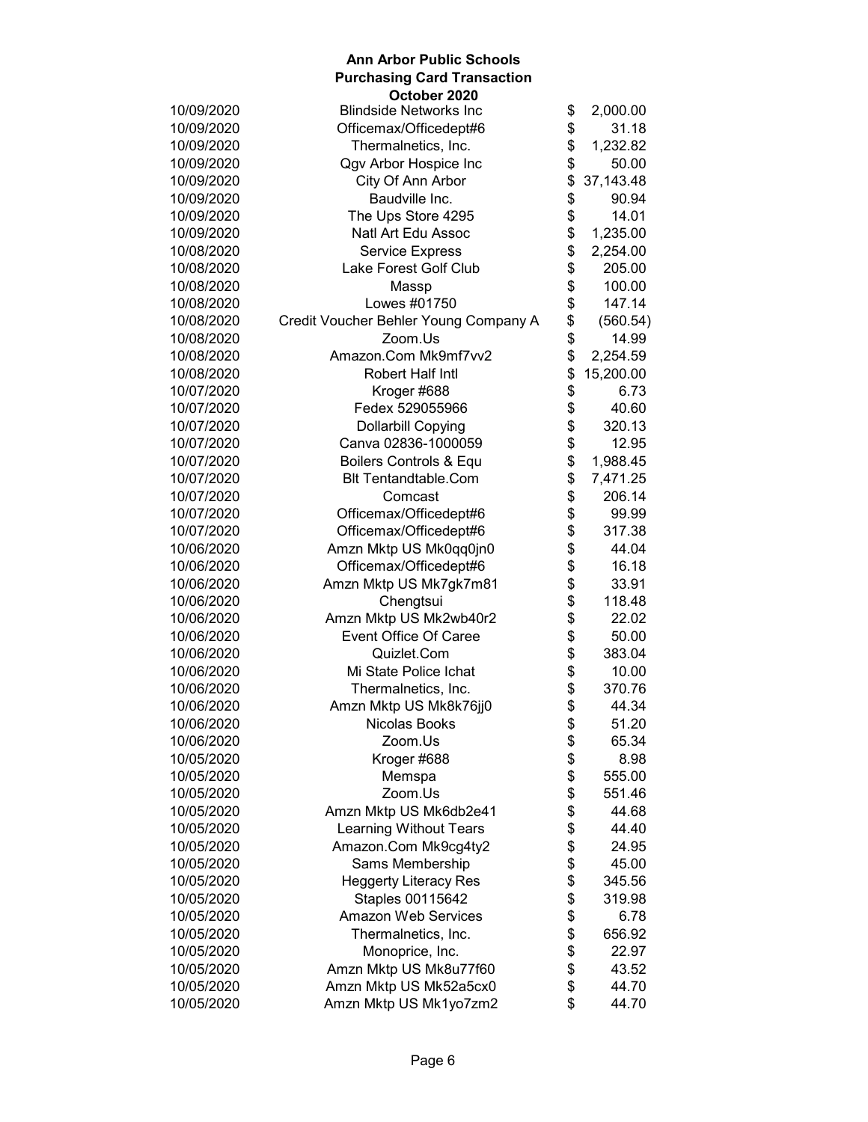|            | October 2020                          |                 |
|------------|---------------------------------------|-----------------|
| 10/09/2020 | <b>Blindside Networks Inc</b>         | \$<br>2,000.00  |
| 10/09/2020 | Officemax/Officedept#6                | \$<br>31.18     |
| 10/09/2020 | Thermalnetics, Inc.                   | \$<br>1,232.82  |
| 10/09/2020 | Qgv Arbor Hospice Inc                 | \$<br>50.00     |
| 10/09/2020 | City Of Ann Arbor                     | \$<br>37,143.48 |
| 10/09/2020 | Baudville Inc.                        | \$<br>90.94     |
| 10/09/2020 | The Ups Store 4295                    | \$<br>14.01     |
| 10/09/2020 | Natl Art Edu Assoc                    | \$<br>1,235.00  |
| 10/08/2020 | <b>Service Express</b>                | \$<br>2,254.00  |
| 10/08/2020 | Lake Forest Golf Club                 | \$<br>205.00    |
| 10/08/2020 | Massp                                 | \$<br>100.00    |
| 10/08/2020 | Lowes #01750                          | \$<br>147.14    |
| 10/08/2020 | Credit Voucher Behler Young Company A | \$<br>(560.54)  |
| 10/08/2020 | Zoom.Us                               | \$<br>14.99     |
| 10/08/2020 | Amazon.Com Mk9mf7vv2                  | \$<br>2,254.59  |
| 10/08/2020 | Robert Half Intl                      | \$<br>15,200.00 |
| 10/07/2020 | Kroger #688                           | \$<br>6.73      |
| 10/07/2020 | Fedex 529055966                       | \$<br>40.60     |
| 10/07/2020 | <b>Dollarbill Copying</b>             | \$<br>320.13    |
| 10/07/2020 | Canva 02836-1000059                   | \$<br>12.95     |
| 10/07/2020 | Boilers Controls & Equ                | \$<br>1,988.45  |
| 10/07/2020 | <b>Blt Tentandtable.Com</b>           | \$<br>7,471.25  |
| 10/07/2020 | Comcast                               | \$<br>206.14    |
| 10/07/2020 | Officemax/Officedept#6                | \$<br>99.99     |
| 10/07/2020 | Officemax/Officedept#6                | \$<br>317.38    |
| 10/06/2020 | Amzn Mktp US Mk0qq0jn0                | \$<br>44.04     |
| 10/06/2020 | Officemax/Officedept#6                | \$<br>16.18     |
| 10/06/2020 | Amzn Mktp US Mk7gk7m81                | \$<br>33.91     |
| 10/06/2020 | Chengtsui                             | \$<br>118.48    |
| 10/06/2020 | Amzn Mktp US Mk2wb40r2                | \$<br>22.02     |
| 10/06/2020 | <b>Event Office Of Caree</b>          | \$<br>50.00     |
| 10/06/2020 | Quizlet.Com                           | \$<br>383.04    |
| 10/06/2020 | Mi State Police Ichat                 | \$<br>10.00     |
| 10/06/2020 | Thermalnetics, Inc.                   | \$<br>370.76    |
| 10/06/2020 | Amzn Mktp US Mk8k76jj0                | \$<br>44.34     |
| 10/06/2020 |                                       | \$<br>51.20     |
|            | Nicolas Books                         |                 |
| 10/06/2020 | Zoom.Us                               | \$<br>65.34     |
| 10/05/2020 | Kroger #688                           | \$<br>8.98      |
| 10/05/2020 | Memspa                                | \$<br>555.00    |
| 10/05/2020 | Zoom.Us                               | \$<br>551.46    |
| 10/05/2020 | Amzn Mktp US Mk6db2e41                | \$<br>44.68     |
| 10/05/2020 | <b>Learning Without Tears</b>         | \$<br>44.40     |
| 10/05/2020 | Amazon.Com Mk9cg4ty2                  | \$<br>24.95     |
| 10/05/2020 | Sams Membership                       | \$<br>45.00     |
| 10/05/2020 | <b>Heggerty Literacy Res</b>          | \$<br>345.56    |
| 10/05/2020 | Staples 00115642                      | \$<br>319.98    |
| 10/05/2020 | Amazon Web Services                   | \$<br>6.78      |
| 10/05/2020 | Thermalnetics, Inc.                   | \$<br>656.92    |
| 10/05/2020 | Monoprice, Inc.                       | \$<br>22.97     |
| 10/05/2020 | Amzn Mktp US Mk8u77f60                | \$<br>43.52     |
| 10/05/2020 | Amzn Mktp US Mk52a5cx0                | \$<br>44.70     |
| 10/05/2020 | Amzn Mktp US Mk1yo7zm2                | \$<br>44.70     |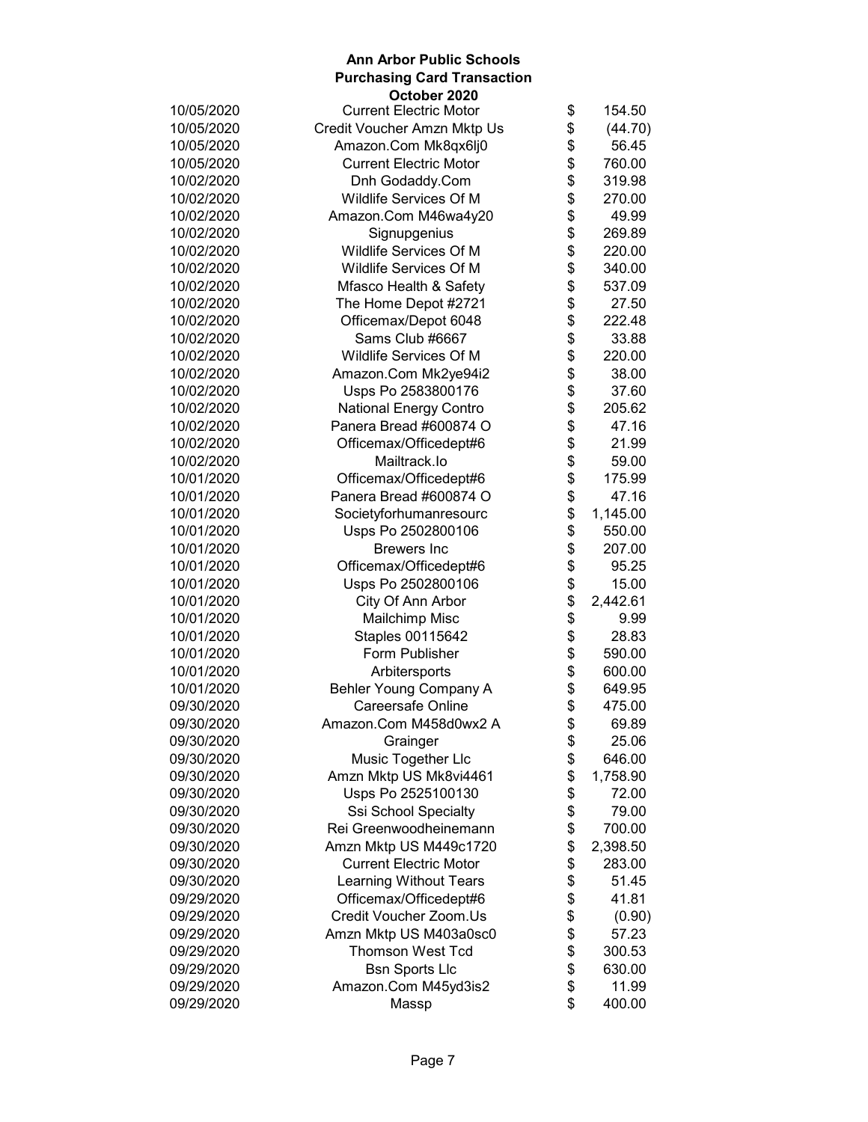#### **Ann Arbor Public Schools Purchasing Card Transaction October 2020** 10/05/2020 Current Electric Motor \$ 154.50 10/05/2020 Credit Voucher Amzn Mktp Us \$ (44.70) 10/05/2020 Amazon.Com Mk8qx6lj0 \$ 56.45 10/05/2020 Current Electric Motor \$ 760.00 10/02/2020 Dnh Godaddy.Com \$ 319.98 10/02/2020 Wildlife Services Of M \$ 270.00 10/02/2020 Amazon.Com M46wa4y20 \$ 49.99 10/02/2020 Signupgenius \$ 269.89 10/02/2020 Wildlife Services Of M \$ 220.00 10/02/2020 Wildlife Services Of M \$ 340.00 10/02/2020 Mfasco Health & Safety \$ 537.09 10/02/2020 The Home Depot #2721 \$ 27.50 10/02/2020 Officemax/Depot 6048 \$ 222.48 10/02/2020 Sams Club #6667 \$ 33.88 10/02/2020 Wildlife Services Of M \$ 220.00 10/02/2020 Amazon.Com Mk2ye94i2 \$ 38.00 10/02/2020 Usps Po 2583800176 \$ 37.60 10/02/2020 National Energy Contro \$ 205.62 10/02/2020 Panera Bread #600874 O \$ 47.16 10/02/2020 Officemax/Officedept#6 \$ 21.99 10/02/2020 Mailtrack.Io \$ 59.00 10/01/2020 Officemax/Officedept#6 \$ 175.99 10/01/2020 Panera Bread #600874 O \$ 47.16 10/01/2020 Societyforhumanresourc \$ 1,145.00 10/01/2020 Usps Po 2502800106 \$ 550.00 10/01/2020 Brewers Inc \$ 207.00 10/01/2020 Officemax/Officedept#6 \$ 95.25 10/01/2020 Usps Po 2502800106 \$ 15.00<br>10/01/2020 City Of Ann Arbor \$ 2,442.61 10/01/2020 City Of Ann Arbor \$ 2,442.61 10/01/2020 Mailchimp Misc \$ 9.99 10/01/2020 Staples 00115642 \$ 28.83 10/01/2020 **Form Publisher** \$ 590.00 10/01/2020 Arbitersports \$ 600.00 10/01/2020 Behler Young Company A  $$649.95$ <br>09/30/2020 Careersafe Online  $$475.00$ 09/30/2020 Careersafe Online \$ 475.00 09/30/2020 Amazon.Com M458d0wx2 A \$ 69.89 09/30/2020 Grainger \$ 25.06 09/30/2020 Music Together Llc \$ 646.00 09/30/2020 Amzn Mktp US Mk8vi4461 \$ 1,758.90 09/30/2020 Usps Po 2525100130 \$ 72.00 09/30/2020 Ssi School Specialty \$ 79.00 09/30/2020 Rei Greenwoodheinemann \$ 700.00 09/30/2020 **Amzn Mktp US M449c1720** \$ 2,398.50 09/30/2020 Current Electric Motor \$ 283.00 09/30/2020 Learning Without Tears \$ 51.45 09/29/2020 Officemax/Officedept#6 \$ 41.81 09/29/2020 Credit Voucher Zoom.Us \$ (0.90) 09/29/2020 Amzn Mktp US M403a0sc0 \$ 57.23 09/29/2020 Thomson West Tcd \$ 300.53 09/29/2020 Bsn Sports Llc \$ 630.00 09/29/2020 Amazon.Com M45yd3is2 \$ 11.99 09/29/2020 Massp \$ 400.00